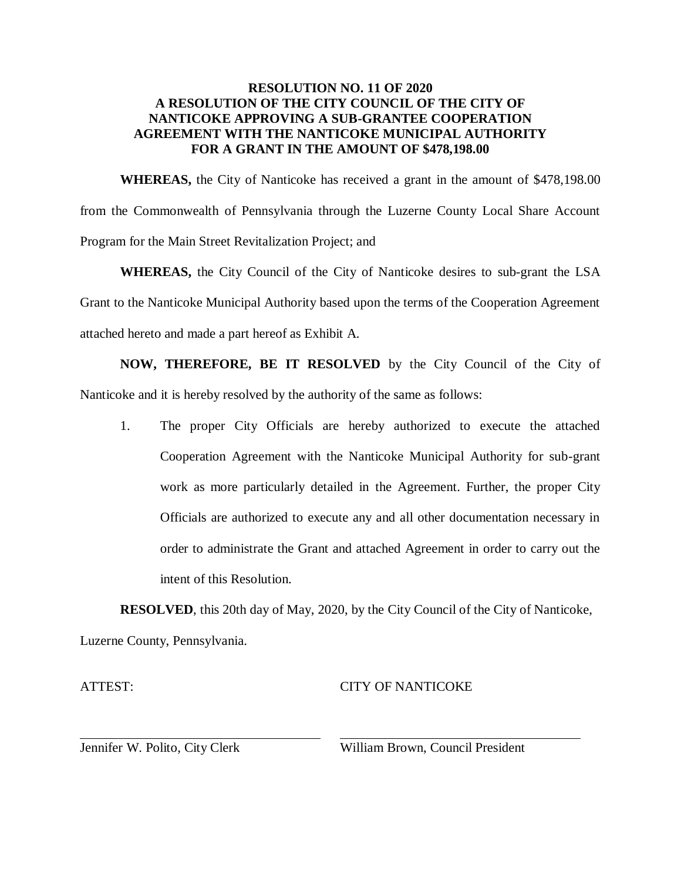## **RESOLUTION NO. 11 OF 2020 A RESOLUTION OF THE CITY COUNCIL OF THE CITY OF NANTICOKE APPROVING A SUB-GRANTEE COOPERATION AGREEMENT WITH THE NANTICOKE MUNICIPAL AUTHORITY FOR A GRANT IN THE AMOUNT OF \$478,198.00**

**WHEREAS,** the City of Nanticoke has received a grant in the amount of \$478,198.00 from the Commonwealth of Pennsylvania through the Luzerne County Local Share Account Program for the Main Street Revitalization Project; and

**WHEREAS,** the City Council of the City of Nanticoke desires to sub-grant the LSA Grant to the Nanticoke Municipal Authority based upon the terms of the Cooperation Agreement attached hereto and made a part hereof as Exhibit A.

**NOW, THEREFORE, BE IT RESOLVED** by the City Council of the City of Nanticoke and it is hereby resolved by the authority of the same as follows:

1. The proper City Officials are hereby authorized to execute the attached Cooperation Agreement with the Nanticoke Municipal Authority for sub-grant work as more particularly detailed in the Agreement. Further, the proper City Officials are authorized to execute any and all other documentation necessary in order to administrate the Grant and attached Agreement in order to carry out the intent of this Resolution.

**RESOLVED**, this 20th day of May, 2020, by the City Council of the City of Nanticoke, Luzerne County, Pennsylvania.

ATTEST:

# CITY OF NANTICOKE

Jennifer W. Polito, City Clerk

William Brown, Council President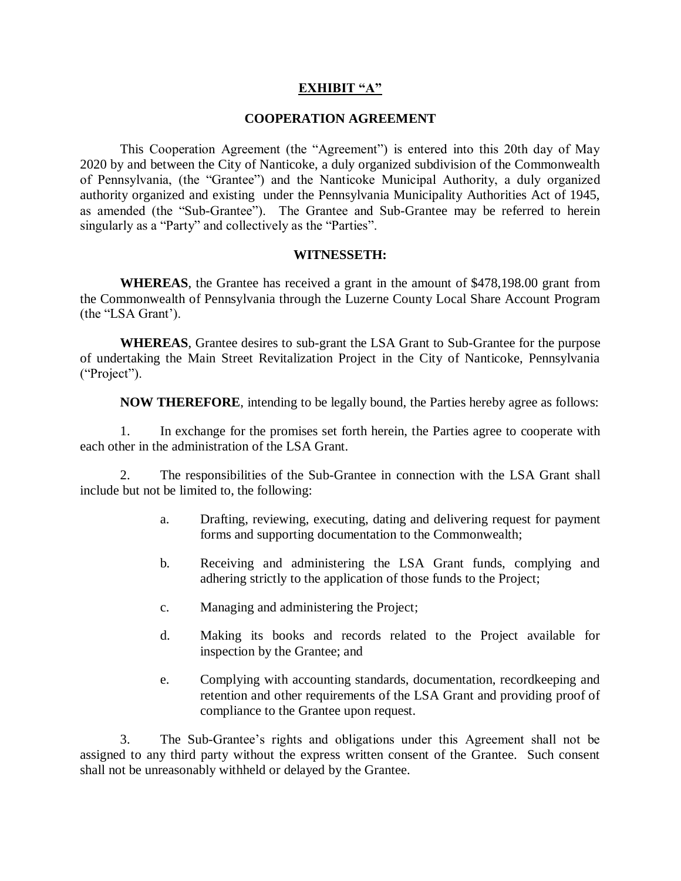### **EXHIBIT "A"**

#### **COOPERATION AGREEMENT**

This Cooperation Agreement (the "Agreement") is entered into this 20th day of May 2020 by and between the City of Nanticoke, a duly organized subdivision of the Commonwealth of Pennsylvania, (the "Grantee") and the Nanticoke Municipal Authority, a duly organized authority organized and existing under the Pennsylvania Municipality Authorities Act of 1945, as amended (the "Sub-Grantee"). The Grantee and Sub-Grantee may be referred to herein singularly as a "Party" and collectively as the "Parties".

#### **WITNESSETH:**

**WHEREAS**, the Grantee has received a grant in the amount of \$478,198.00 grant from the Commonwealth of Pennsylvania through the Luzerne County Local Share Account Program (the "LSA Grant').

**WHEREAS**, Grantee desires to sub-grant the LSA Grant to Sub-Grantee for the purpose of undertaking the Main Street Revitalization Project in the City of Nanticoke, Pennsylvania ("Project").

**NOW THEREFORE**, intending to be legally bound, the Parties hereby agree as follows:

1. In exchange for the promises set forth herein, the Parties agree to cooperate with each other in the administration of the LSA Grant.

2. The responsibilities of the Sub-Grantee in connection with the LSA Grant shall include but not be limited to, the following:

- a. Drafting, reviewing, executing, dating and delivering request for payment forms and supporting documentation to the Commonwealth;
- b. Receiving and administering the LSA Grant funds, complying and adhering strictly to the application of those funds to the Project;
- c. Managing and administering the Project;
- d. Making its books and records related to the Project available for inspection by the Grantee; and
- e. Complying with accounting standards, documentation, recordkeeping and retention and other requirements of the LSA Grant and providing proof of compliance to the Grantee upon request.

3. The Sub-Grantee's rights and obligations under this Agreement shall not be assigned to any third party without the express written consent of the Grantee. Such consent shall not be unreasonably withheld or delayed by the Grantee.